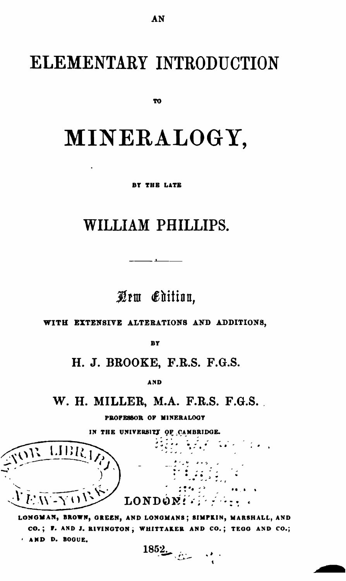## ELEMENTARY INTRODUCTION

TO.

## MINERALOGY,

**BY THE LATE** 

## WILLIAM PHILLIPS.

Qrw Edition.

WITH EXTENSIVE ALTERATIONS AND ADDITIONS,

BY

H. J. BROOKE, F.R.S. F.G.S.

**AND** 

W. H. MILLER, M.A. F.R.S. F.G.S.

PROFESSOR OF MINERALOGY

IN THE UNIVERSITY OF CAMBRIDGE.

LIBR  $LONDON!$ 

LONGMAN, BROWN, GREEN, AND LONGMANS; SIMPKIN, MARSHALL, AND CO.; F. AND J. RIVINGTON; WHITTAKER AND CO.; TEGG AND CO.; AND D. BOGUE.  $1852$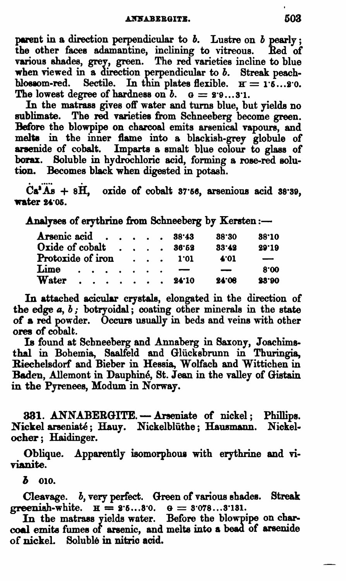parent in a direction perpendicular to  $b$ . Lustre on  $b$  pearly; the other face8 adamantine, inclining to vitreous. Red of various shades, grey, green. The red varieties incline to blue when viewed in a direction perpendicular to *b*. Streak peachblossom-red. Sectile. In thin plates flexible.  $H = 1.6...8.0$ . The lowest degree of hardness on  $b. \quad a = 2.9...3.1$ .

In the matrass gives off water and turns blue, but yields no sublimate. The red varieties from Schneeberg become green. Before the blowpipe on charcoal emits arsenical vapours, and melts in the inner flame into a blackish-grey globule of arsenide of cobalt. Imparts a smalt blue colour to glass of borax. Soluble in hydrochloric acid, forming a rose-red solution. Becomes black when digested in potash.

 $Ca<sup>3</sup> As + 8H$ , oxide of cobalt 37.56, arsenious acid 38.39, water 24:05.

Analyses of erythrine from Schneeberg by Kersten:-

| Arsenic acid $\cdots$ $\cdots$ 38.43 |  |  |          |  |        |      | 38.30                    | 38.10 |
|--------------------------------------|--|--|----------|--|--------|------|--------------------------|-------|
| Oxide of cobalt 36.52                |  |  |          |  |        |      | $33 - 42$                | 29.19 |
| Protoxide of iron                    |  |  |          |  | . 1.01 | 4.01 | $\overline{\phantom{m}}$ |       |
| Lime                                 |  |  | $\cdots$ |  |        |      | $\overline{\phantom{a}}$ | 8.00  |
| Water 24.10                          |  |  |          |  |        |      | 24:08                    | 23.90 |
|                                      |  |  |          |  |        |      |                          |       |

In attached acicular crystals, elongated in the direction of the edge  $a, b$ ; botryoidal; coating other minerals in the state of a red powder. Occurs usually in beds and veins with other ores of cobalt.

Is found at Scbneeberg and Annaberg in Saxony, Joachimsthal in Bohemia, Saalfeld and Glücksbrunn in Thuringia, Riechelsdorf and Bieber in Hessia, Wolfach and Wittichen in Baden, Allemont in Dauphiné, St. Jean in the valley of Gistain in the Pyrenees, Modum in Norway.

331. ANNABERGITE. - Arseniate of nickel; Phillips. Nickel arseniaté; Hauy. Nickelblüthe; Hausmann. Nickeloeher; Haidinger.

Oblique. Apparently isomorphous with erythrine and vivianite.

 $\boldsymbol{b}$  010.

Cleavage. *b*, very perfect. Green of various shades. Streak greenish-white.  $H = 2.6...8.0$ .  $\theta = 3.078...3.131$ .

In the matrass yields water. Before the blowpipe on charcoal emits fumes of arsenic, and melts into a bead of arsenide of nickel Soluble in nitrio acid.